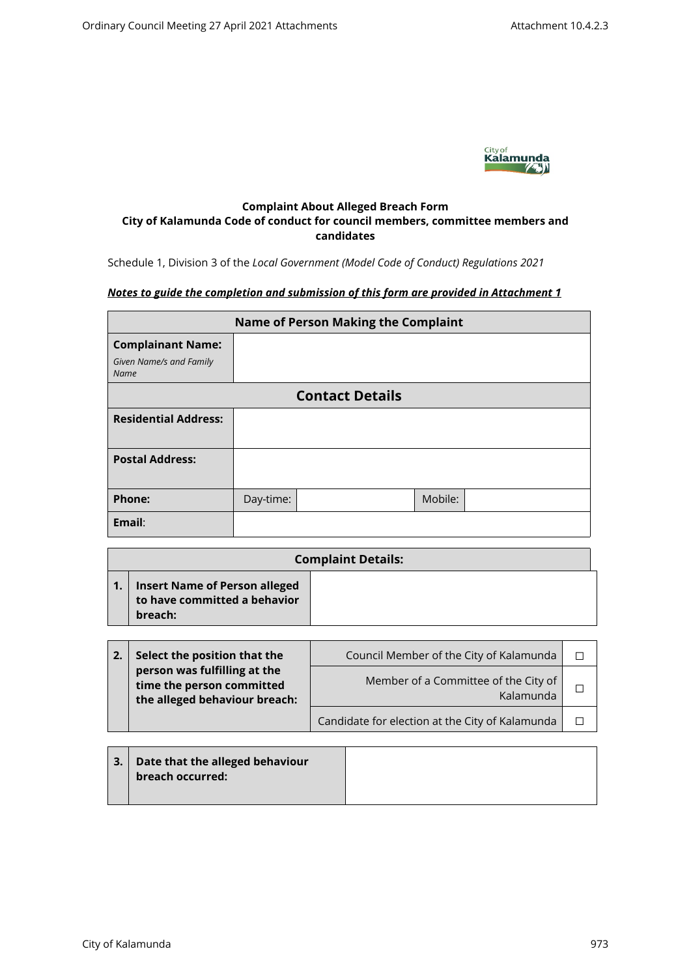

# **Complaint About Alleged Breach Form City of Kalamunda Code of conduct for council members, committee members and candidates**

Schedule 1, Division 3 of the *Local Government (Model Code of Conduct) Regulations 2021*

# *Notes to guide the completion and submission of this form are provided in Attachment 1*

| <b>Name of Person Making the Complaint</b> |           |                        |         |  |  |  |
|--------------------------------------------|-----------|------------------------|---------|--|--|--|
| <b>Complainant Name:</b>                   |           |                        |         |  |  |  |
| Given Name/s and Family<br><b>Name</b>     |           |                        |         |  |  |  |
|                                            |           | <b>Contact Details</b> |         |  |  |  |
| <b>Residential Address:</b>                |           |                        |         |  |  |  |
| <b>Postal Address:</b>                     |           |                        |         |  |  |  |
| <b>Phone:</b>                              | Day-time: |                        | Mobile: |  |  |  |
| Email:                                     |           |                        |         |  |  |  |

| <b>Complaint Details:</b>                                                       |  |  |  |  |
|---------------------------------------------------------------------------------|--|--|--|--|
| <b>Insert Name of Person alleged</b><br>to have committed a behavior<br>breach: |  |  |  |  |

| Select the position that the                                                               | Council Member of the City of Kalamunda           |  |
|--------------------------------------------------------------------------------------------|---------------------------------------------------|--|
| person was fulfilling at the<br>time the person committed<br>the alleged behaviour breach: | Member of a Committee of the City of<br>Kalamunda |  |
|                                                                                            | Candidate for election at the City of Kalamunda   |  |

| $\mid$ 3. $\mid$ Date that the alleged behaviour $\mid$ |
|---------------------------------------------------------|
| breach occurred:                                        |
|                                                         |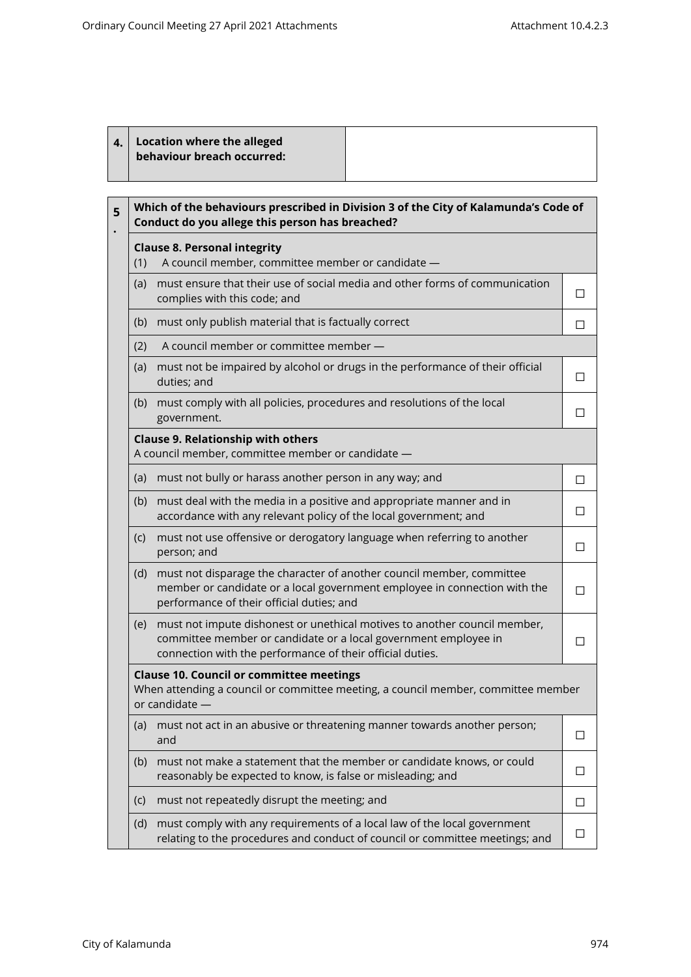|  | 4. Location where the alleged<br>behaviour breach occurred: |  |
|--|-------------------------------------------------------------|--|
|--|-------------------------------------------------------------|--|

| Which of the behaviours prescribed in Division 3 of the City of Kalamunda's Code of<br>Conduct do you allege this person has breached? |                                                                                                                                                                                                           |        |  |  |
|----------------------------------------------------------------------------------------------------------------------------------------|-----------------------------------------------------------------------------------------------------------------------------------------------------------------------------------------------------------|--------|--|--|
| <b>Clause 8. Personal integrity</b><br>A council member, committee member or candidate -<br>(1)                                        |                                                                                                                                                                                                           |        |  |  |
| (a)                                                                                                                                    | must ensure that their use of social media and other forms of communication<br>complies with this code; and                                                                                               | □      |  |  |
| (b)                                                                                                                                    | must only publish material that is factually correct                                                                                                                                                      | П      |  |  |
| (2)                                                                                                                                    | A council member or committee member -                                                                                                                                                                    |        |  |  |
| (a)                                                                                                                                    | must not be impaired by alcohol or drugs in the performance of their official<br>duties; and                                                                                                              | П      |  |  |
| (b)                                                                                                                                    | must comply with all policies, procedures and resolutions of the local<br>government.                                                                                                                     | П      |  |  |
|                                                                                                                                        | <b>Clause 9. Relationship with others</b><br>A council member, committee member or candidate -                                                                                                            |        |  |  |
| (a)                                                                                                                                    | must not bully or harass another person in any way; and                                                                                                                                                   | □      |  |  |
| (b)                                                                                                                                    | must deal with the media in a positive and appropriate manner and in<br>accordance with any relevant policy of the local government; and                                                                  | П      |  |  |
| (c)                                                                                                                                    | must not use offensive or derogatory language when referring to another<br>person; and                                                                                                                    | П      |  |  |
| (d)                                                                                                                                    | must not disparage the character of another council member, committee<br>member or candidate or a local government employee in connection with the<br>performance of their official duties; and           |        |  |  |
| (e)                                                                                                                                    | must not impute dishonest or unethical motives to another council member,<br>committee member or candidate or a local government employee in<br>connection with the performance of their official duties. | П      |  |  |
|                                                                                                                                        | <b>Clause 10. Council or committee meetings</b><br>When attending a council or committee meeting, a council member, committee member<br>or candidate -                                                    |        |  |  |
| (a)                                                                                                                                    | must not act in an abusive or threatening manner towards another person;<br>and                                                                                                                           | П      |  |  |
| (b)                                                                                                                                    | must not make a statement that the member or candidate knows, or could<br>reasonably be expected to know, is false or misleading; and                                                                     | ГI     |  |  |
| (c)                                                                                                                                    | must not repeatedly disrupt the meeting; and                                                                                                                                                              | П      |  |  |
| (d)                                                                                                                                    | must comply with any requirements of a local law of the local government<br>relating to the procedures and conduct of council or committee meetings; and                                                  | $\Box$ |  |  |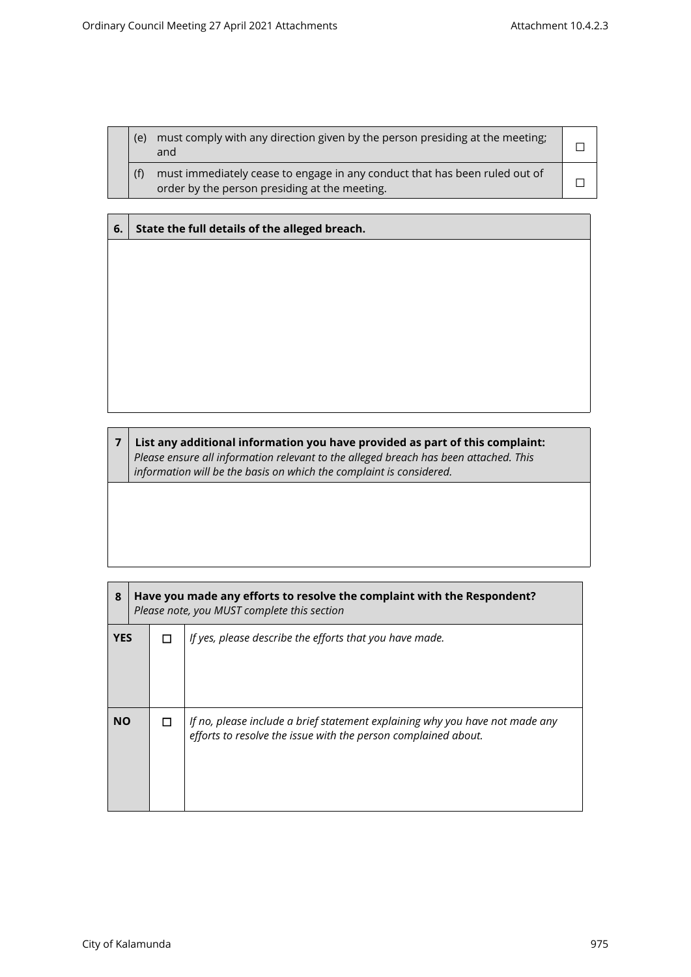| (e) | must comply with any direction given by the person presiding at the meeting;<br>and                                         |  |
|-----|-----------------------------------------------------------------------------------------------------------------------------|--|
|     | must immediately cease to engage in any conduct that has been ruled out of<br>order by the person presiding at the meeting. |  |

# **6. State the full details of the alleged breach.**

**7 List any additional information you have provided as part of this complaint:** *Please ensure all information relevant to the alleged breach has been attached. This information will be the basis on which the complaint is considered.*

| 8          | Have you made any efforts to resolve the complaint with the Respondent?<br>Please note, you MUST complete this section |  |                                                                                                                                                |
|------------|------------------------------------------------------------------------------------------------------------------------|--|------------------------------------------------------------------------------------------------------------------------------------------------|
| <b>YES</b> |                                                                                                                        |  | If yes, please describe the efforts that you have made.                                                                                        |
| <b>NO</b>  |                                                                                                                        |  | If no, please include a brief statement explaining why you have not made any<br>efforts to resolve the issue with the person complained about. |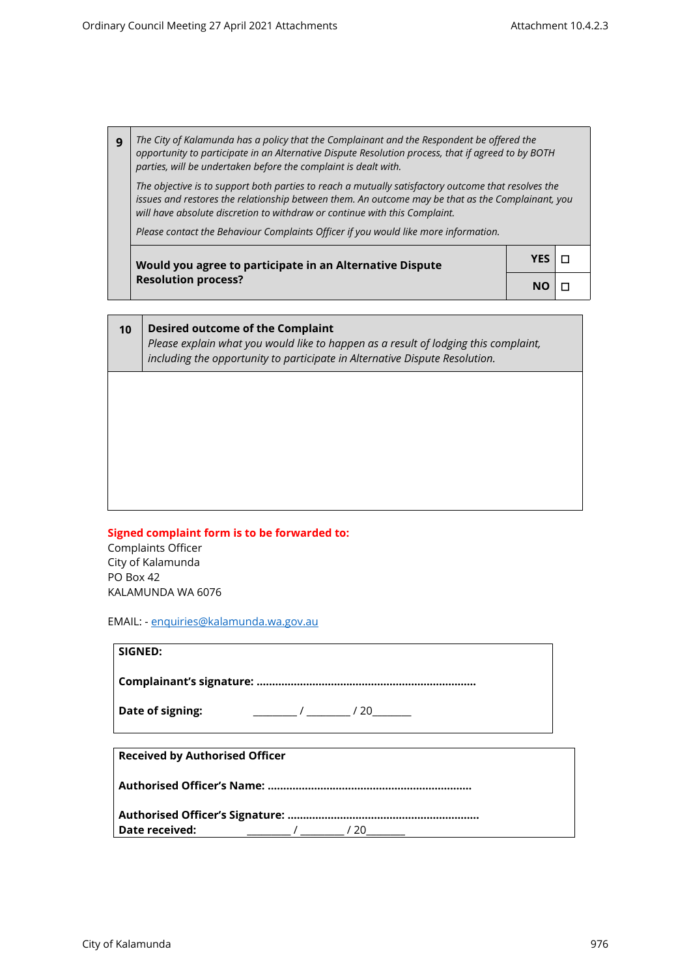*The City of Kalamunda has a policy that the Complainant and the Respondent be offered the opportunity to participate in an Alternative Dispute Resolution process, that if agreed to by BOTH parties, will be undertaken before the complaint is dealt with.*  **9**

*The objective is to support both parties to reach a mutually satisfactory outcome that resolves the issues and restores the relationship between them. An outcome may be that as the Complainant, you will have absolute discretion to withdraw or continue with this Complaint.*

*Please contact the Behaviour Complaints Officer if you would like more information.*

| Would you agree to participate in an Alternative Dispute | $YES   \Box$    |  |
|----------------------------------------------------------|-----------------|--|
| <b>Resolution process?</b>                               | NO <sub>1</sub> |  |

**10 Desired outcome of the Complaint** *Please explain what you would like to happen as a result of lodging this complaint, including the opportunity to participate in Alternative Dispute Resolution.*

# **Signed complaint form is to be forwarded to:**

Complaints Officer City of Kalamunda PO Box 42 KALAMUNDA WA 6076

EMAIL: - [enquiries@kalamunda.wa.gov.au](mailto:enquiries@kalamunda.wa.gov.au)

## **SIGNED:**

**Complainant's signature: ……………………………………………………………..**

**Date of signing:**  $\frac{1}{20}$  / \_\_\_\_\_\_\_ / 20\_\_\_\_\_\_\_

**Received by Authorised Officer**

**Authorised Officer's Name: ………………………………………….……………..**

**Authorised Officer's Signature: …………………………………………………….. Date received:** \_\_\_\_\_\_\_\_\_ / \_\_\_\_\_\_\_\_\_ / 20\_\_\_\_\_\_\_\_